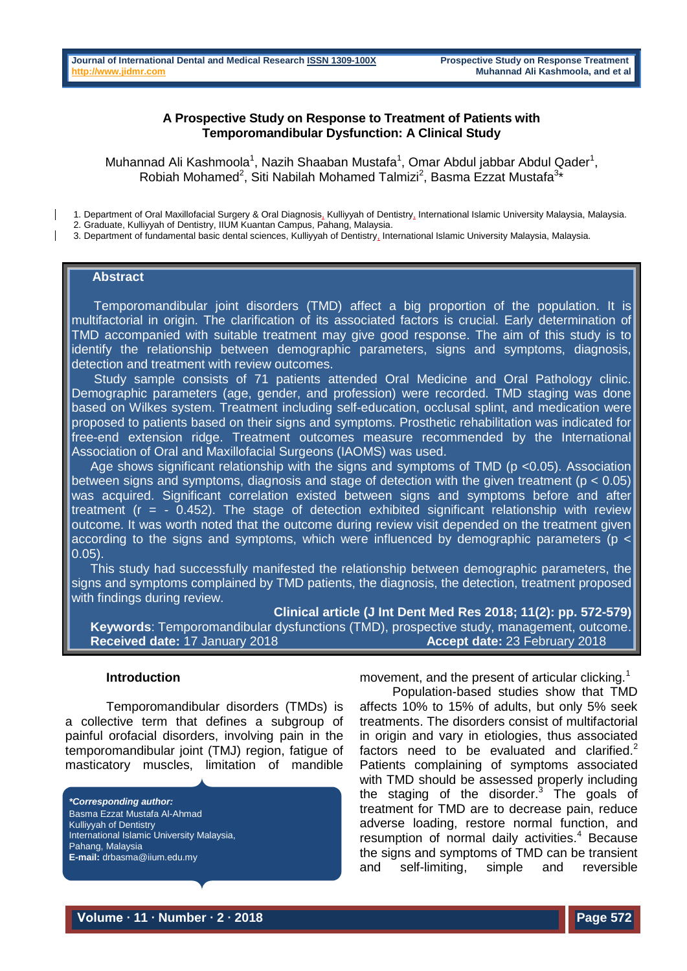## **A Prospective Study on Response to Treatment of Patients with Temporomandibular Dysfunction: A Clinical Study**

Muhannad Ali Kashmoola<sup>1</sup>, Nazih Shaaban Mustafa<sup>1</sup>, Omar Abdul jabbar Abdul Qader<sup>1</sup>, Robiah Mohamed<sup>2</sup>, Siti Nabilah Mohamed Talmizi<sup>2</sup>, Basma Ezzat Mustafa<sup>3\*</sup>

1. Department of Oral Maxillofacial Surgery & Oral Diagnosis, Kulliyyah of Dentistry, International Islamic University Malaysia, Malaysia.

2. Graduate, Kulliyyah of Dentistry, IIUM Kuantan Campus, Pahang, Malaysia.

3. Department of fundamental basic dental sciences, Kulliyyah of Dentistry, International Islamic University Malaysia, Malaysia.

## **Abstract**

Temporomandibular joint disorders (TMD) affect a big proportion of the population. It is multifactorial in origin. The clarification of its associated factors is crucial. Early determination of TMD accompanied with suitable treatment may give good response. The aim of this study is to identify the relationship between demographic parameters, signs and symptoms, diagnosis, detection and treatment with review outcomes.

Study sample consists of 71 patients attended Oral Medicine and Oral Pathology clinic. Demographic parameters (age, gender, and profession) were recorded. TMD staging was done based on Wilkes system. Treatment including self-education, occlusal splint, and medication were proposed to patients based on their signs and symptoms. Prosthetic rehabilitation was indicated for free-end extension ridge. Treatment outcomes measure recommended by the International Association of Oral and Maxillofacial Surgeons (IAOMS) was used.

Age shows significant relationship with the signs and symptoms of TMD (p <0.05). Association between signs and symptoms, diagnosis and stage of detection with the given treatment (p < 0.05) was acquired. Significant correlation existed between signs and symptoms before and after treatment ( $r = -0.452$ ). The stage of detection exhibited significant relationship with review outcome. It was worth noted that the outcome during review visit depended on the treatment given according to the signs and symptoms, which were influenced by demographic parameters ( $p \lt$ 0.05).

This study had successfully manifested the relationship between demographic parameters, the signs and symptoms complained by TMD patients, the diagnosis, the detection, treatment proposed with findings during review.

**Clinical article (J Int Dent Med Res 2018; 11(2): pp. 572-579) Keywords**: Temporomandibular dysfunctions (TMD), prospective study, management, outcome. **Received date:** 17 January 2018 **Accept date:** 23 February 2018

### **Introduction**

Temporomandibular disorders (TMDs) is a collective term that defines a subgroup of painful orofacial disorders, involving pain in the temporomandibular joint (TMJ) region, fatigue of masticatory muscles, limitation of mandible

*\*Corresponding author:* Basma Ezzat Mustafa Al-Ahmad Kulliyyah of Dentistry International Islamic University Malaysia, Pahang, Malaysia **E-mail:** drbasma@iium.edu.my

movement, and the present of articular clicking.<sup>1</sup>

Population-based studies show that TMD affects 10% to 15% of adults, but only 5% seek treatments. The disorders consist of multifactorial in origin and vary in etiologies, thus associated factors need to be evaluated and clarified. $2$ Patients complaining of symptoms associated with TMD should be assessed properly including the staging of the disorder.<sup>3</sup> The goals of treatment for TMD are to decrease pain, reduce adverse loading, restore normal function, and resumption of normal daily activities.<sup>4</sup> Because the signs and symptoms of TMD can be transient and self-limiting, simple and reversible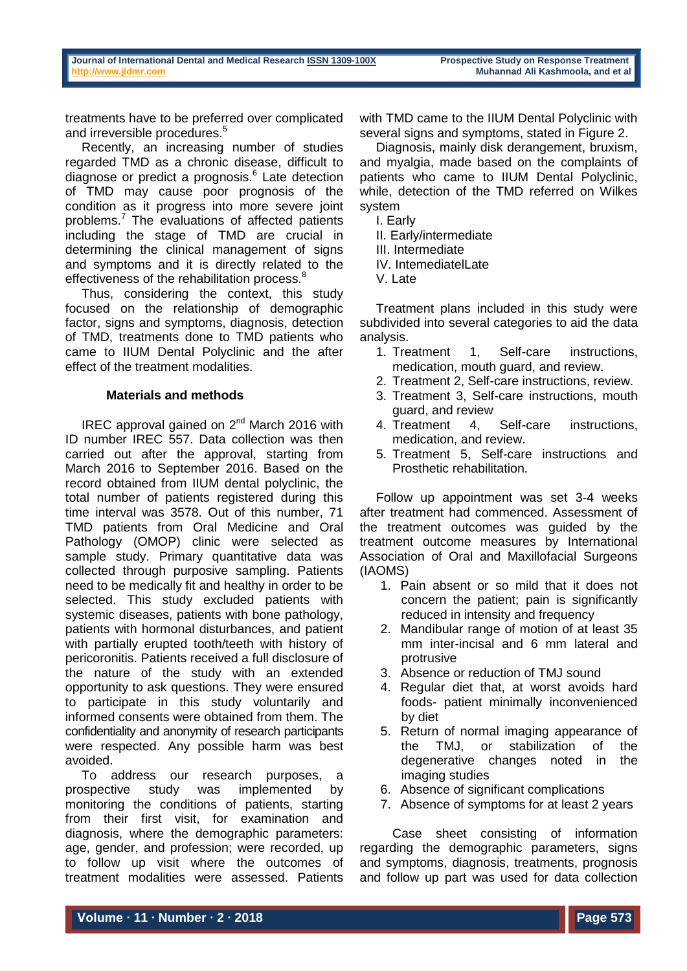treatments have to be preferred over complicated and irreversible procedures.<sup>5</sup>

Recently, an increasing number of studies regarded TMD as a chronic disease, difficult to diagnose or predict a prognosis.<sup>6</sup> Late detection of TMD may cause poor prognosis of the condition as it progress into more severe joint problems.<sup>7</sup> The evaluations of affected patients including the stage of TMD are crucial in determining the clinical management of signs and symptoms and it is directly related to the effectiveness of the rehabilitation process.<sup>8</sup>

Thus, considering the context, this study focused on the relationship of demographic factor, signs and symptoms, diagnosis, detection of TMD, treatments done to TMD patients who came to IIUM Dental Polyclinic and the after effect of the treatment modalities.

## **Materials and methods**

IREC approval gained on 2<sup>nd</sup> March 2016 with ID number IREC 557. Data collection was then carried out after the approval, starting from March 2016 to September 2016. Based on the record obtained from IIUM dental polyclinic, the total number of patients registered during this time interval was 3578. Out of this number, 71 TMD patients from Oral Medicine and Oral Pathology (OMOP) clinic were selected as sample study. Primary quantitative data was collected through purposive sampling. Patients need to be medically fit and healthy in order to be selected. This study excluded patients with systemic diseases, patients with bone pathology, patients with hormonal disturbances, and patient with partially erupted tooth/teeth with history of pericoronitis. Patients received a full disclosure of the nature of the study with an extended opportunity to ask questions. They were ensured to participate in this study voluntarily and informed consents were obtained from them. The confidentiality and anonymity of research participants were respected. Any possible harm was best avoided.

To address our research purposes, a prospective study was implemented by monitoring the conditions of patients, starting from their first visit, for examination and diagnosis, where the demographic parameters: age, gender, and profession; were recorded, up to follow up visit where the outcomes of treatment modalities were assessed. Patients

with TMD came to the IIUM Dental Polyclinic with several signs and symptoms, stated in Figure 2.

Diagnosis, mainly disk derangement, bruxism, and myalgia, made based on the complaints of patients who came to IIUM Dental Polyclinic, while, detection of the TMD referred on Wilkes system

- I. Early
- II. Early/intermediate
- III. Intermediate
- IV. IntemediatelLate
- V. Late

Treatment plans included in this study were subdivided into several categories to aid the data analysis.

- 1. Treatment 1, Self-care instructions, medication, mouth guard, and review.
- 2. Treatment 2, Self-care instructions, review.
- 3. Treatment 3, Self-care instructions, mouth guard, and review
- 4. Treatment 4, Self-care instructions, medication, and review.
- 5. Treatment 5, Self-care instructions and Prosthetic rehabilitation.

Follow up appointment was set 3-4 weeks after treatment had commenced. Assessment of the treatment outcomes was guided by the treatment outcome measures by International Association of Oral and Maxillofacial Surgeons (IAOMS)

- 1. Pain absent or so mild that it does not concern the patient; pain is significantly reduced in intensity and frequency
- 2. Mandibular range of motion of at least 35 mm inter-incisal and 6 mm lateral and protrusive
- 3. Absence or reduction of TMJ sound
- 4. Regular diet that, at worst avoids hard foods- patient minimally inconvenienced by diet
- 5. Return of normal imaging appearance of the TMJ, or stabilization of the degenerative changes noted in the imaging studies
- 6. Absence of significant complications
- 7. Absence of symptoms for at least 2 years

Case sheet consisting of information regarding the demographic parameters, signs and symptoms, diagnosis, treatments, prognosis and follow up part was used for data collection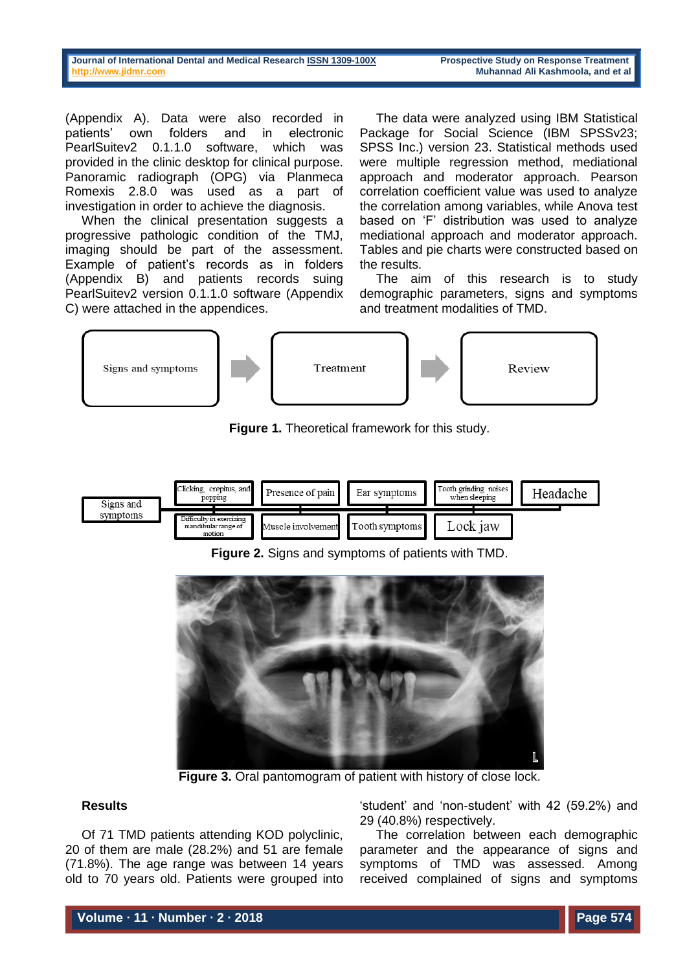| Journal of International Dental and Medical Research ISSN 1309-100X | <b>Prospective Study on Response Treatment</b> |
|---------------------------------------------------------------------|------------------------------------------------|
| http://www.jidmr.com                                                | Muhannad Ali Kashmoola, and et al              |
|                                                                     |                                                |

(Appendix A). Data were also recorded in patients' own folders and in electronic PearlSuitev2 0.1.1.0 software, which was provided in the clinic desktop for clinical purpose. Panoramic radiograph (OPG) via Planmeca Romexis 2.8.0 was used as a part of investigation in order to achieve the diagnosis.

When the clinical presentation suggests a progressive pathologic condition of the TMJ, imaging should be part of the assessment. Example of patient's records as in folders (Appendix B) and patients records suing PearlSuitev2 version 0.1.1.0 software (Appendix C) were attached in the appendices.

The data were analyzed using IBM Statistical Package for Social Science (IBM SPSSv23; SPSS Inc.) version 23. Statistical methods used were multiple regression method, mediational approach and moderator approach. Pearson correlation coefficient value was used to analyze the correlation among variables, while Anova test based on 'F' distribution was used to analyze mediational approach and moderator approach. Tables and pie charts were constructed based on the results.

The aim of this research is to study demographic parameters, signs and symptoms and treatment modalities of TMD.



**Figure 1.** Theoretical framework for this study.



**Figure 2.** Signs and symptoms of patients with TMD.



**Figure 3.** Oral pantomogram of patient with history of close lock.

# **Results**

Of 71 TMD patients attending KOD polyclinic, 20 of them are male (28.2%) and 51 are female (71.8%). The age range was between 14 years old to 70 years old. Patients were grouped into

'student' and 'non-student' with 42 (59.2%) and 29 (40.8%) respectively.

The correlation between each demographic parameter and the appearance of signs and symptoms of TMD was assessed. Among received complained of signs and symptoms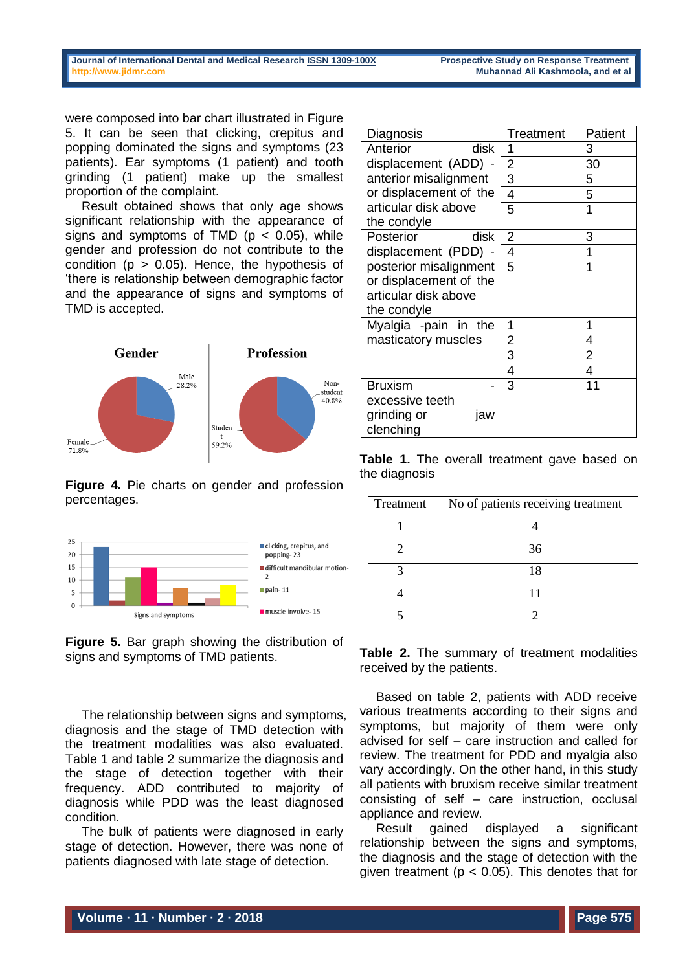were composed into bar chart illustrated in Figure 5. It can be seen that clicking, crepitus and popping dominated the signs and symptoms (23 patients). Ear symptoms (1 patient) and tooth grinding (1 patient) make up the smallest proportion of the complaint.

Result obtained shows that only age shows significant relationship with the appearance of signs and symptoms of TMD ( $p < 0.05$ ), while gender and profession do not contribute to the condition ( $p > 0.05$ ). Hence, the hypothesis of 'there is relationship between demographic factor and the appearance of signs and symptoms of TMD is accepted.



**Figure 4.** Pie charts on gender and profession percentages.



**Figure 5.** Bar graph showing the distribution of signs and symptoms of TMD patients.

The relationship between signs and symptoms, diagnosis and the stage of TMD detection with the treatment modalities was also evaluated. Table 1 and table 2 summarize the diagnosis and the stage of detection together with their frequency. ADD contributed to majority of diagnosis while PDD was the least diagnosed condition.

The bulk of patients were diagnosed in early stage of detection. However, there was none of patients diagnosed with late stage of detection.

| Diagnosis              | Treatment      | Patient |
|------------------------|----------------|---------|
| Anterior<br>disk       |                | 3       |
| displacement (ADD) -   | 2              | 30      |
| anterior misalignment  | 3              | 5       |
| or displacement of the | 4              | 5       |
| articular disk above   | 5              | 1       |
| the condyle            |                |         |
| Posterior<br>disk      | 2              | 3       |
| displacement (PDD) -   | $\overline{4}$ | 1       |
| posterior misalignment | 5              | 1       |
| or displacement of the |                |         |
| articular disk above   |                |         |
| the condyle            |                |         |
| Myalgia -pain in the   | 1              | 1       |
| masticatory muscles    | 2              | 4       |
|                        | 3              | 2       |
|                        | 4              | 4       |
| <b>Bruxism</b>         | 3              | 11      |
| excessive teeth        |                |         |
| grinding or<br>jaw     |                |         |
| clenching              |                |         |

**Table 1.** The overall treatment gave based on the diagnosis

| Treatment | No of patients receiving treatment |
|-----------|------------------------------------|
|           |                                    |
|           | 36                                 |
|           | 18                                 |
|           |                                    |
|           |                                    |

**Table 2.** The summary of treatment modalities received by the patients.

Based on table 2, patients with ADD receive various treatments according to their signs and symptoms, but majority of them were only advised for self – care instruction and called for review. The treatment for PDD and myalgia also vary accordingly. On the other hand, in this study all patients with bruxism receive similar treatment consisting of self – care instruction, occlusal appliance and review.

Result gained displayed a significant relationship between the signs and symptoms, the diagnosis and the stage of detection with the given treatment ( $p < 0.05$ ). This denotes that for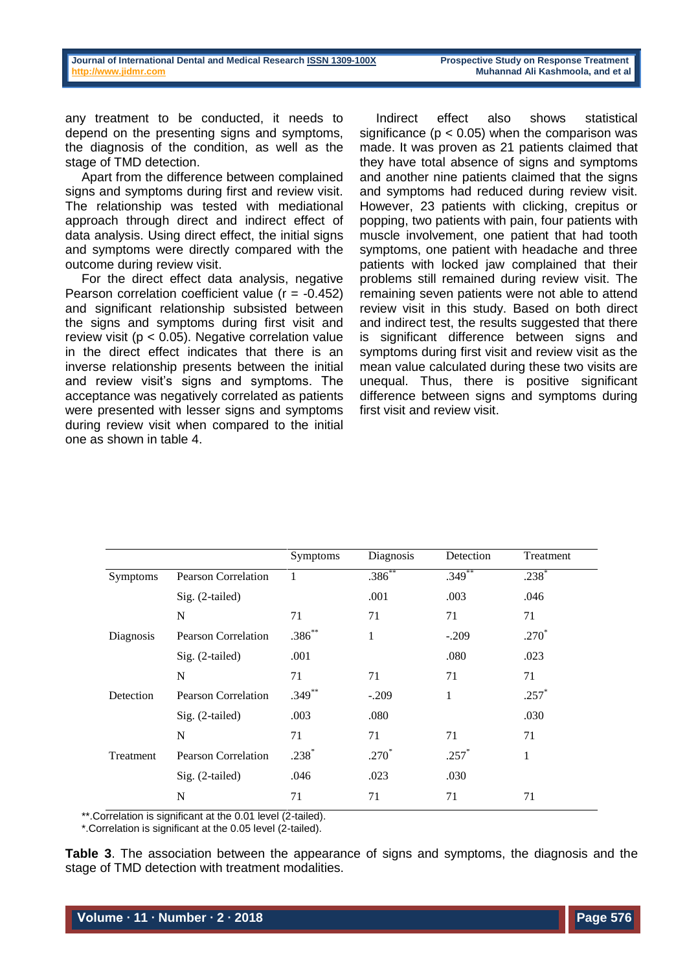any treatment to be conducted, it needs to depend on the presenting signs and symptoms, the diagnosis of the condition, as well as the stage of TMD detection.

Apart from the difference between complained signs and symptoms during first and review visit. The relationship was tested with mediational approach through direct and indirect effect of data analysis. Using direct effect, the initial signs and symptoms were directly compared with the outcome during review visit.

For the direct effect data analysis, negative Pearson correlation coefficient value  $(r = -0.452)$ and significant relationship subsisted between the signs and symptoms during first visit and review visit ( $p < 0.05$ ). Negative correlation value in the direct effect indicates that there is an inverse relationship presents between the initial and review visit's signs and symptoms. The acceptance was negatively correlated as patients were presented with lesser signs and symptoms during review visit when compared to the initial one as shown in table 4.

Indirect effect also shows statistical significance ( $p < 0.05$ ) when the comparison was made. It was proven as 21 patients claimed that they have total absence of signs and symptoms and another nine patients claimed that the signs and symptoms had reduced during review visit. However, 23 patients with clicking, crepitus or popping, two patients with pain, four patients with muscle involvement, one patient that had tooth symptoms, one patient with headache and three patients with locked jaw complained that their problems still remained during review visit. The remaining seven patients were not able to attend review visit in this study. Based on both direct and indirect test, the results suggested that there is significant difference between signs and symptoms during first visit and review visit as the mean value calculated during these two visits are unequal. Thus, there is positive significant difference between signs and symptoms during first visit and review visit.

|                 |                            | Symptoms | Diagnosis   | Detection   | Treatment |
|-----------------|----------------------------|----------|-------------|-------------|-----------|
| <b>Symptoms</b> | <b>Pearson Correlation</b> | 1        | $.386^{**}$ | $.349^{**}$ | $.238*$   |
|                 | Sig. (2-tailed)            |          | .001        | .003        | .046      |
|                 | N                          | 71       | 71          | 71          | 71        |
| Diagnosis       | <b>Pearson Correlation</b> | $.386**$ | 1           | $-.209$     | $.270*$   |
|                 | Sig. (2-tailed)            | .001     |             | .080        | .023      |
|                 | N                          | 71       | 71          | 71          | 71        |
| Detection       | <b>Pearson Correlation</b> | $.349**$ | $-.209$     | 1           | $.257*$   |
|                 | Sig. (2-tailed)            | .003     | .080        |             | .030      |
|                 | $\mathbf N$                | 71       | 71          | 71          | 71        |
| Treatment       | <b>Pearson Correlation</b> | $.238*$  | $.270*$     | $.257*$     | 1         |
|                 | Sig. (2-tailed)            | .046     | .023        | .030        |           |
|                 | N                          | 71       | 71          | 71          | 71        |

\*\*.Correlation is significant at the 0.01 level (2-tailed).

\*.Correlation is significant at the 0.05 level (2-tailed).

**Table 3**. The association between the appearance of signs and symptoms, the diagnosis and the stage of TMD detection with treatment modalities.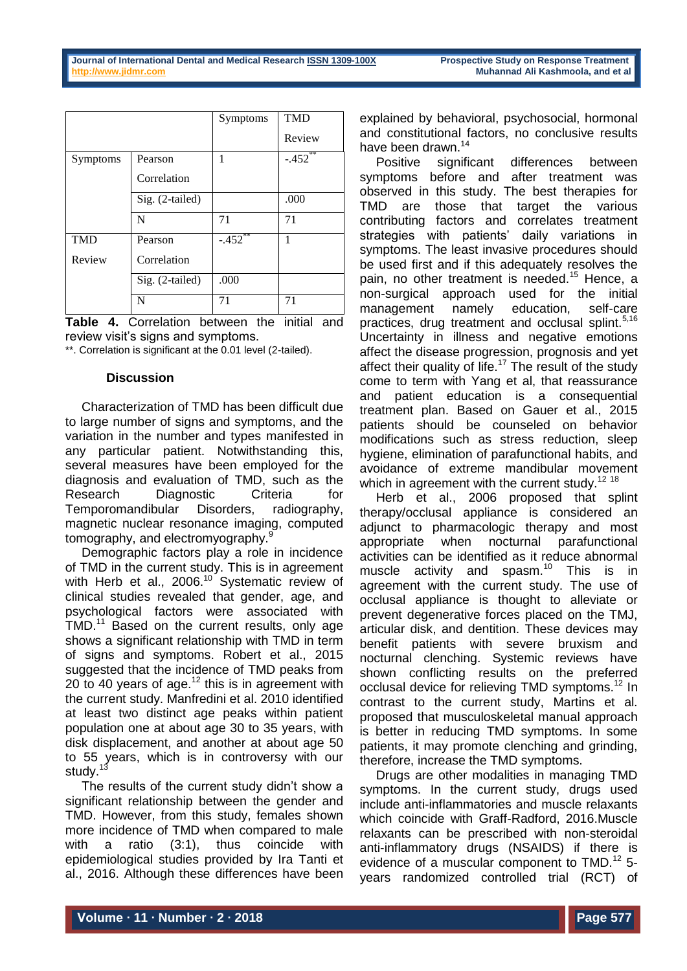|            |                 | Symptoms | <b>TMD</b>  |
|------------|-----------------|----------|-------------|
|            |                 |          | Review      |
| Symptoms   | Pearson         | 1        | $-452^{**}$ |
|            | Correlation     |          |             |
|            | Sig. (2-tailed) |          | .000        |
|            | N               | 71       | 71          |
| <b>TMD</b> | Pearson         | $-.452$  | 1           |
| Review     | Correlation     |          |             |
|            | Sig. (2-tailed) | .000     |             |
|            | N               | 71       | 71          |

**Table 4.** Correlation between the initial and review visit's signs and symptoms.

\*\*. Correlation is significant at the 0.01 level (2-tailed).

## **Discussion**

Characterization of TMD has been difficult due to large number of signs and symptoms, and the variation in the number and types manifested in any particular patient. Notwithstanding this, several measures have been employed for the diagnosis and evaluation of TMD, such as the Research Diagnostic Criteria for Temporomandibular Disorders, radiography, magnetic nuclear resonance imaging, computed tomography, and electromyography.

Demographic factors play a role in incidence of TMD in the current study. This is in agreement with Herb et al., 2006.<sup>10</sup> Systematic review of clinical studies revealed that gender, age, and psychological factors were associated with TMD.<sup>11</sup> Based on the current results, only age shows a significant relationship with TMD in term of signs and symptoms. Robert et al., 2015 suggested that the incidence of TMD peaks from 20 to 40 years of age.<sup>12</sup> this is in agreement with the current study. Manfredini et al. 2010 identified at least two distinct age peaks within patient population one at about age 30 to 35 years, with disk displacement, and another at about age 50 to 55 years, which is in controversy with our study.<sup>13</sup>

The results of the current study didn't show a significant relationship between the gender and TMD. However, from this study, females shown more incidence of TMD when compared to male with a ratio (3:1), thus coincide with epidemiological studies provided by Ira Tanti et al., 2016. Although these differences have been

explained by behavioral, psychosocial, hormonal and constitutional factors, no conclusive results have been drawn.<sup>14</sup>

Positive significant differences between symptoms before and after treatment was observed in this study. The best therapies for TMD are those that target the various contributing factors and correlates treatment strategies with patients' daily variations in symptoms. The least invasive procedures should be used first and if this adequately resolves the pain, no other treatment is needed.<sup>15</sup> Hence, a non-surgical approach used for the initial management namely education, self-care practices, drug treatment and occlusal splint.<sup>5,16</sup> Uncertainty in illness and negative emotions affect the disease progression, prognosis and yet affect their quality of life.<sup>17</sup> The result of the study come to term with Yang et al, that reassurance and patient education is a consequential treatment plan. Based on Gauer et al., 2015 patients should be counseled on behavior modifications such as stress reduction, sleep hygiene, elimination of parafunctional habits, and avoidance of extreme mandibular movement which in agreement with the current study.<sup>12 18</sup>

Herb et al., 2006 proposed that splint therapy/occlusal appliance is considered an adjunct to pharmacologic therapy and most appropriate when nocturnal parafunctional activities can be identified as it reduce abnormal muscle activity and spasm.<sup>10</sup> This is in agreement with the current study. The use of occlusal appliance is thought to alleviate or prevent degenerative forces placed on the TMJ, articular disk, and dentition. These devices may benefit patients with severe bruxism and nocturnal clenching. Systemic reviews have shown conflicting results on the preferred occlusal device for relieving TMD symptoms.<sup>12</sup> In contrast to the current study, Martins et al. proposed that musculoskeletal manual approach is better in reducing TMD symptoms. In some patients, it may promote clenching and grinding, therefore, increase the TMD symptoms.

Drugs are other modalities in managing TMD symptoms. In the current study, drugs used include anti-inflammatories and muscle relaxants which coincide with Graff-Radford, 2016.Muscle relaxants can be prescribed with non-steroidal anti-inflammatory drugs (NSAIDS) if there is evidence of a muscular component to TMD.<sup>12</sup> 5years randomized controlled trial (RCT) of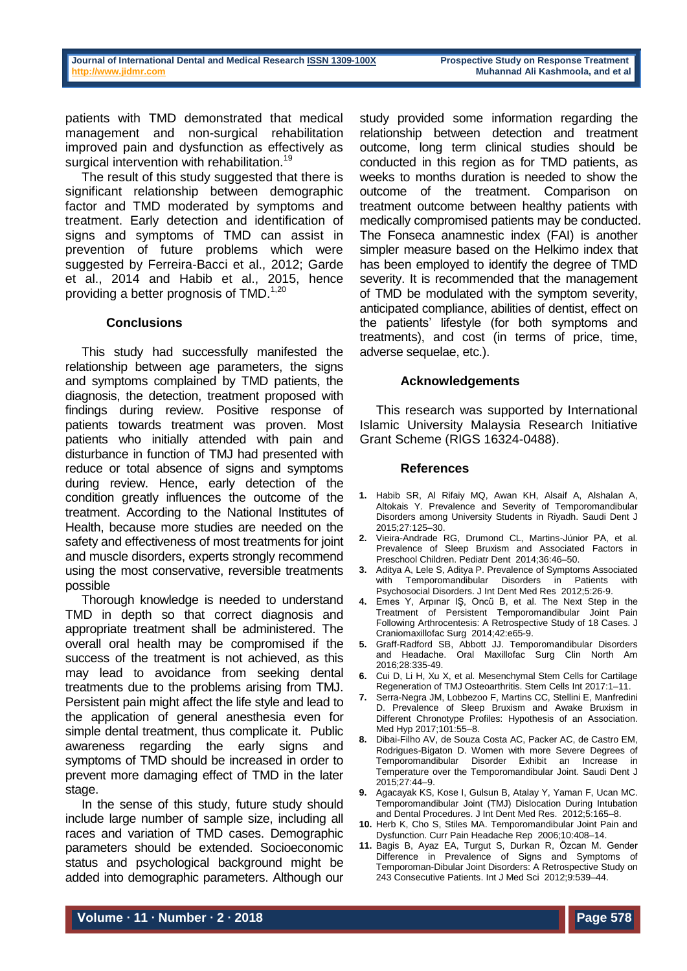patients with TMD demonstrated that medical management and non-surgical rehabilitation improved pain and dysfunction as effectively as surgical intervention with rehabilitation.<sup>19</sup>

The result of this study suggested that there is significant relationship between demographic factor and TMD moderated by symptoms and treatment. Early detection and identification of signs and symptoms of TMD can assist in prevention of future problems which were suggested by Ferreira-Bacci et al., 2012; Garde et al., 2014 and Habib et al., 2015, hence providing a better prognosis of  $TMD.<sup>1,20</sup>$ 

### **Conclusions**

This study had successfully manifested the relationship between age parameters, the signs and symptoms complained by TMD patients, the diagnosis, the detection, treatment proposed with findings during review. Positive response of patients towards treatment was proven. Most patients who initially attended with pain and disturbance in function of TMJ had presented with reduce or total absence of signs and symptoms during review. Hence, early detection of the condition greatly influences the outcome of the treatment. According to the National Institutes of Health, because more studies are needed on the safety and effectiveness of most treatments for joint and muscle disorders, experts strongly recommend using the most conservative, reversible treatments possible

Thorough knowledge is needed to understand TMD in depth so that correct diagnosis and appropriate treatment shall be administered. The overall oral health may be compromised if the success of the treatment is not achieved, as this may lead to avoidance from seeking dental treatments due to the problems arising from TMJ. Persistent pain might affect the life style and lead to the application of general anesthesia even for simple dental treatment, thus complicate it. Public awareness regarding the early signs and symptoms of TMD should be increased in order to prevent more damaging effect of TMD in the later stage.

In the sense of this study, future study should include large number of sample size, including all races and variation of TMD cases. Demographic parameters should be extended. Socioeconomic status and psychological background might be added into demographic parameters. Although our

study provided some information regarding the relationship between detection and treatment outcome, long term clinical studies should be conducted in this region as for TMD patients, as weeks to months duration is needed to show the outcome of the treatment. Comparison on treatment outcome between healthy patients with medically compromised patients may be conducted. The Fonseca anamnestic index (FAI) is another simpler measure based on the Helkimo index that has been employed to identify the degree of TMD severity. It is recommended that the management of TMD be modulated with the symptom severity, anticipated compliance, abilities of dentist, effect on the patients' lifestyle (for both symptoms and treatments), and cost (in terms of price, time, adverse sequelae, etc.).

### **Acknowledgements**

This research was supported by International Islamic University Malaysia Research Initiative Grant Scheme (RIGS 16324-0488).

#### **References**

- **1.** Habib SR, Al Rifaiy MQ, Awan KH, Alsaif A, Alshalan A, Altokais Y*.* Prevalence and Severity of Temporomandibular Disorders among University Students in Riyadh. Saudi Dent J 2015;27:125–30.
- **2.** Vieira-Andrade RG, Drumond CL, Martins-Júnior PA, et al*.* Prevalence of Sleep Bruxism and Associated Factors in Preschool Children. Pediatr Dent 2014;36:46–50.
- **3.** Aditya A, Lele S, Aditya P. Prevalence of Symptoms Associated with Temporomandibular Disorders in Patients with Psychosocial Disorders. J Int Dent Med Res 2012;5:26-9.
- **4.** Emes Y, Arpınar IŞ, Oncü B, et al. The Next Step in the Treatment of Persistent Temporomandibular Joint Pain Following Arthrocentesis: A Retrospective Study of 18 Cases. J Craniomaxillofac Surg 2014;42:e65-9.
- **5.** Graff-Radford SB, Abbott JJ. Temporomandibular Disorders and Headache. Oral Maxillofac Surg Clin North Am 2016;28:335-49.
- **6.** Cui D, Li H, Xu X, et al*.* Mesenchymal Stem Cells for Cartilage Regeneration of TMJ Osteoarthritis. Stem Cells Int 2017:1–11.
- **7.** Serra-Negra JM, Lobbezoo F, Martins CC, Stellini E, Manfredini D. Prevalence of Sleep Bruxism and Awake Bruxism in Different Chronotype Profiles: Hypothesis of an Association. Med Hyn 2017;101:55-8.
- **8.** Dibai-Filho AV, de Souza Costa AC, Packer AC, de Castro EM, Rodrigues-Bigaton D. Women with more Severe Degrees of Temporomandibular Disorder Exhibit an Increase in Temperature over the Temporomandibular Joint. Saudi Dent J 2015;27:44–9.
- **9.** Agacayak KS, Kose I, Gulsun B, Atalay Y, Yaman F, Ucan MC. Temporomandibular Joint (TMJ) Dislocation During Intubation and Dental Procedures. J Int Dent Med Res. 2012;5:165–8.
- **10.** Herb K, Cho S, Stiles MA. Temporomandibular Joint Pain and Dysfunction. Curr Pain Headache Rep 2006;10:408–14.
- **11.** Bagis B, Ayaz EA, Turgut S, Durkan R, Özcan M. Gender Difference in Prevalence of Signs and Symptoms of Temporoman-Dibular Joint Disorders: A Retrospective Study on 243 Consecutive Patients. Int J Med Sci 2012;9:539–44.